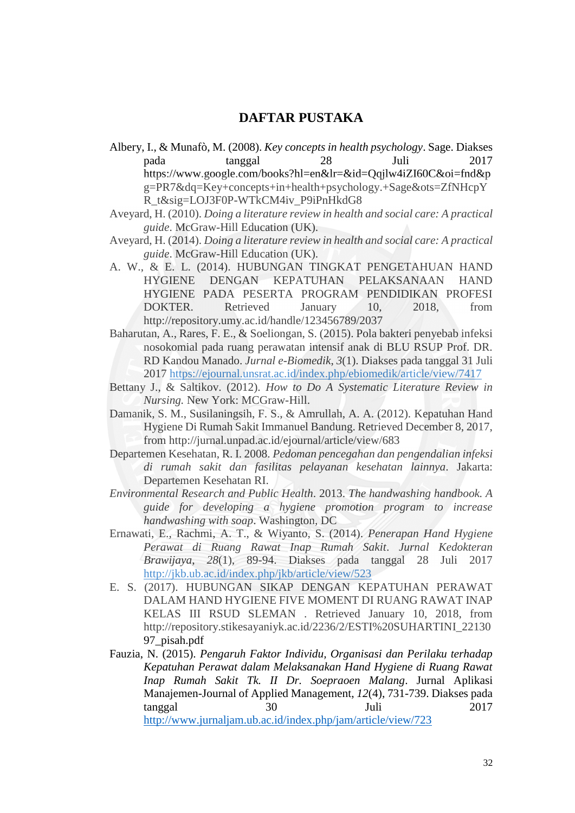## **DAFTAR PUSTAKA**

- Albery, I., & Munafò, M. (2008). *Key concepts in health psychology*. Sage. Diakses pada tanggal 28 Juli 2017 https://www.google.com/books?hl=en&lr=&id=Qqjlw4iZI60C&oi=fnd&p g=PR7&dq=Key+concepts+in+health+psychology.+Sage&ots=ZfNHcpY R\_t&sig=LOJ3F0P-WTkCM4iv\_P9iPnHkdG8
- Aveyard, H. (2010). *Doing a literature review in health and social care: A practical guide*. McGraw-Hill Education (UK).
- Aveyard, H. (2014). *Doing a literature review in health and social care: A practical guide*. McGraw-Hill Education (UK).
- A. W., & E. L. (2014). HUBUNGAN TINGKAT PENGETAHUAN HAND HYGIENE DENGAN KEPATUHAN PELAKSANAAN HAND HYGIENE PADA PESERTA PROGRAM PENDIDIKAN PROFESI DOKTER. Retrieved January 10, 2018, from http://repository.umy.ac.id/handle/123456789/2037
- Baharutan, A., Rares, F. E., & Soeliongan, S. (2015). Pola bakteri penyebab infeksi nosokomial pada ruang perawatan intensif anak di BLU RSUP Prof. DR. RD Kandou Manado. *Jurnal e-Biomedik*, *3*(1). Diakses pada tanggal 31 Juli 2017<https://ejournal.unsrat.ac.id/index.php/ebiomedik/article/view/7417>
- Bettany J., & Saltikov. (2012). *How to Do A Systematic Literature Review in Nursing.* New York: MCGraw-Hill.
- Damanik, S. M., Susilaningsih, F. S., & Amrullah, A. A. (2012). Kepatuhan Hand Hygiene Di Rumah Sakit Immanuel Bandung. Retrieved December 8, 2017, from http://jurnal.unpad.ac.id/ejournal/article/view/683
- Departemen Kesehatan, R. I. 2008. *Pedoman pencegahan dan pengendalian infeksi di rumah sakit dan fasilitas pelayanan kesehatan lainnya*. Jakarta: Departemen Kesehatan RI.
- *Environmental Research and Public Health*. 2013. *The handwashing handbook. A guide for developing a hygiene promotion program to increase handwashing with soap*. Washington, DC
- Ernawati, E., Rachmi, A. T., & Wiyanto, S. (2014). *Penerapan Hand Hygiene Perawat di Ruang Rawat Inap Rumah Sakit*. *Jurnal Kedokteran Brawijaya*, *28*(1), 89-94. Diakses pada tanggal 28 Juli 2017 <http://jkb.ub.ac.id/index.php/jkb/article/view/523>
- E. S. (2017). HUBUNGAN SIKAP DENGAN KEPATUHAN PERAWAT DALAM HAND HYGIENE FIVE MOMENT DI RUANG RAWAT INAP KELAS III RSUD SLEMAN . Retrieved January 10, 2018, from http://repository.stikesayaniyk.ac.id/2236/2/ESTI%20SUHARTINI\_22130 97\_pisah.pdf
- Fauzia, N. (2015). *Pengaruh Faktor Individu, Organisasi dan Perilaku terhadap Kepatuhan Perawat dalam Melaksanakan Hand Hygiene di Ruang Rawat Inap Rumah Sakit Tk. II Dr. Soepraoen Malang*. Jurnal Aplikasi Manajemen-Journal of Applied Management, *12*(4), 731-739. Diakses pada tanggal 30 Juli 2017 <http://www.jurnaljam.ub.ac.id/index.php/jam/article/view/723>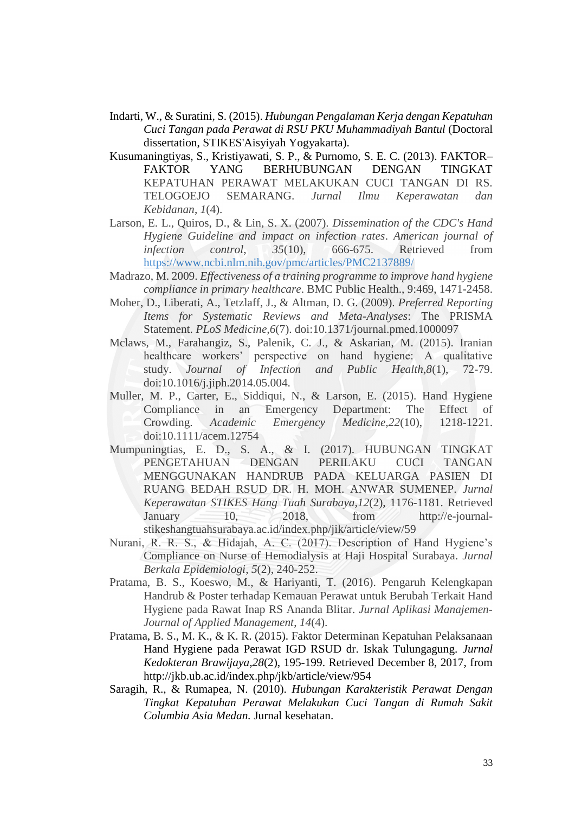- Indarti, W., & Suratini, S. (2015). *Hubungan Pengalaman Kerja dengan Kepatuhan Cuci Tangan pada Perawat di RSU PKU Muhammadiyah Bantul* (Doctoral dissertation, STIKES'Aisyiyah Yogyakarta).
- Kusumaningtiyas, S., Kristiyawati, S. P., & Purnomo, S. E. C. (2013). FAKTOR– FAKTOR YANG BERHUBUNGAN DENGAN TINGKAT KEPATUHAN PERAWAT MELAKUKAN CUCI TANGAN DI RS. TELOGOEJO SEMARANG. *Jurnal Ilmu Keperawatan dan Kebidanan*, *1*(4).
- Larson, E. L., Quiros, D., & Lin, S. X. (2007). *Dissemination of the CDC's Hand Hygiene Guideline and impact on infection rates*. *American journal of infection control*, *35*(10), 666-675. Retrieved from <https://www.ncbi.nlm.nih.gov/pmc/articles/PMC2137889/>
- Madrazo, M. 2009. *Effectiveness of a training programme to improve hand hygiene compliance in primary healthcare*. BMC Public Health., 9:469, 1471-2458.
- Moher, D., Liberati, A., Tetzlaff, J., & Altman, D. G. (2009). *Preferred Reporting Items for Systematic Reviews and Meta-Analyses*: The PRISMA Statement. *PLoS Medicine,6*(7). doi:10.1371/journal.pmed.1000097
- Mclaws, M., Farahangiz, S., Palenik, C. J., & Askarian, M. (2015). Iranian healthcare workers' perspective on hand hygiene: A qualitative study. *Journal of Infection and Public Health,8*(1), 72-79. doi:10.1016/j.jiph.2014.05.004.
- Muller, M. P., Carter, E., Siddiqui, N., & Larson, E. (2015). Hand Hygiene Compliance in an Emergency Department: The Effect of Crowding. *Academic Emergency Medicine,22*(10), 1218-1221. doi:10.1111/acem.12754
- Mumpuningtias, E. D., S. A., & I. (2017). HUBUNGAN TINGKAT PENGETAHUAN DENGAN PERILAKU CUCI TANGAN MENGGUNAKAN HANDRUB PADA KELUARGA PASIEN DI RUANG BEDAH RSUD DR. H. MOH. ANWAR SUMENEP. *Jurnal Keperawatan STIKES Hang Tuah Surabaya,12*(2), 1176-1181. Retrieved January 10, 2018, from http://e-journalstikeshangtuahsurabaya.ac.id/index.php/jik/article/view/59
- Nurani, R. R. S., & Hidajah, A. C. (2017). Description of Hand Hygiene's Compliance on Nurse of Hemodialysis at Haji Hospital Surabaya. *Jurnal Berkala Epidemiologi*, *5*(2), 240-252.
- Pratama, B. S., Koeswo, M., & Hariyanti, T. (2016). Pengaruh Kelengkapan Handrub & Poster terhadap Kemauan Perawat untuk Berubah Terkait Hand Hygiene pada Rawat Inap RS Ananda Blitar. *Jurnal Aplikasi Manajemen-Journal of Applied Management*, *14*(4).
- Pratama, B. S., M. K., & K. R. (2015). Faktor Determinan Kepatuhan Pelaksanaan Hand Hygiene pada Perawat IGD RSUD dr. Iskak Tulungagung. *Jurnal Kedokteran Brawijaya,28*(2), 195-199. Retrieved December 8, 2017, from http://jkb.ub.ac.id/index.php/jkb/article/view/954
- Saragih, R., & Rumapea, N. (2010). *Hubungan Karakteristik Perawat Dengan Tingkat Kepatuhan Perawat Melakukan Cuci Tangan di Rumah Sakit Columbia Asia Medan.* Jurnal kesehatan.